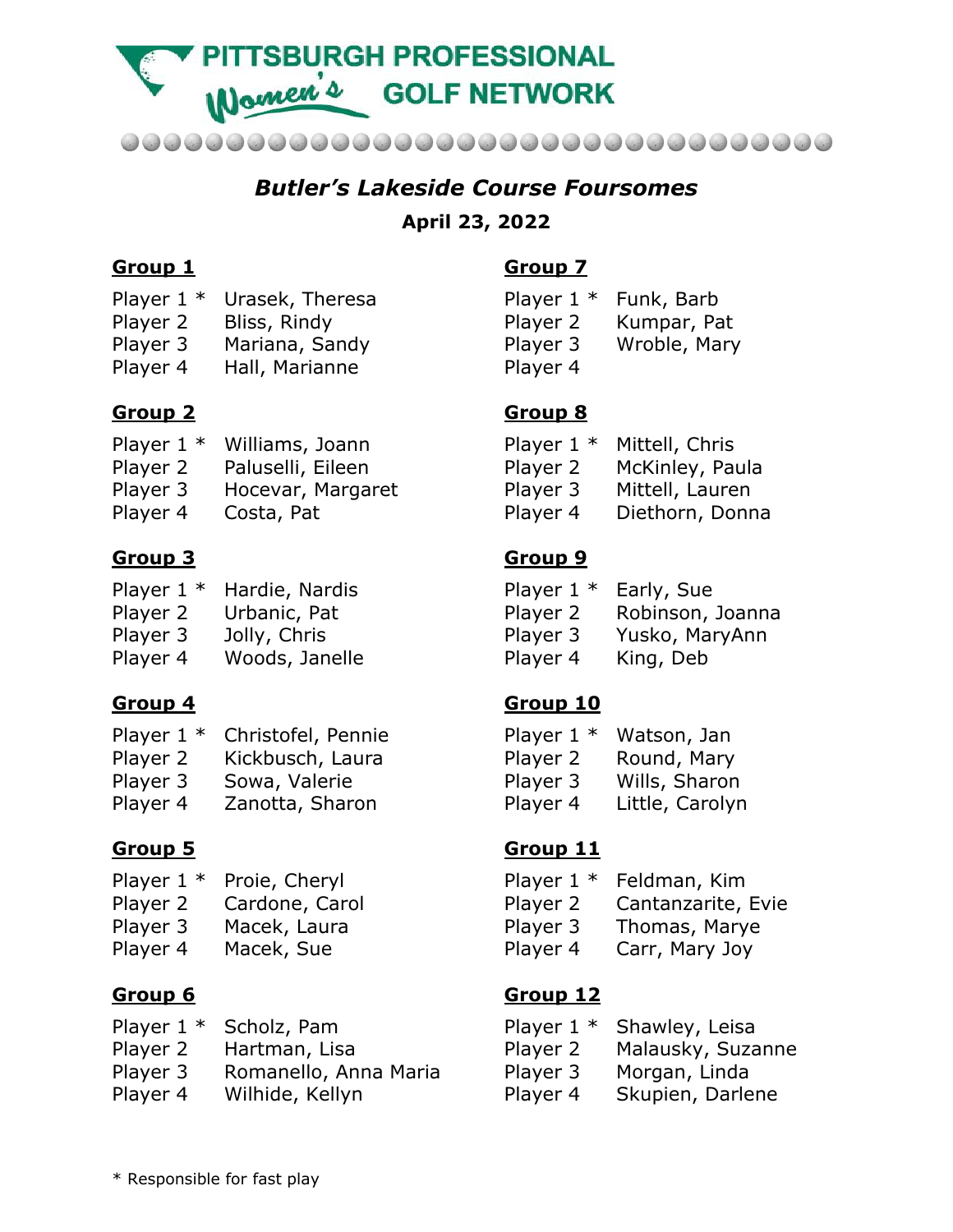**TSBURGH PROFESSIONAL** Wamen's **GOLF NETWORK** 

......................................

# *Butler's Lakeside Course Foursomes*

#### **April 23, 2022**

### **Group 1**

- Player 1 \* Urasek, Theresa
- Player 2 Bliss, Rindy
- Player 3 Mariana, Sandy
- Player 4 Hall, Marianne

### **Group 2**

- Player 1 \* Williams, Joann
- Player 2 Paluselli, Eileen
- Player 3 Hocevar, Margaret
- Player 4 Costa, Pat

## **Group 3**

- Player 1 \* Hardie, Nardis
- Player 2 Urbanic, Pat
- Player 3 Jolly, Chris
- Player 4 Woods, Janelle

## **Group 4**

- Player 1 \* Christofel, Pennie
- Player 2 Kickbusch, Laura
- Player 3 Sowa, Valerie
- Player 4 Zanotta, Sharon

## **Group 5**

- Player 1 \* Proie, Cheryl
- Player 2 Cardone, Carol
- Player 3 Macek, Laura
- Player 4 Macek, Sue

## **Group 6**

- Player 1 \* Scholz, Pam
- Player 2 Hartman, Lisa
- Player 3 Romanello, Anna Maria
- Player 4 Wilhide, Kellyn

# **Group 7**

Player 1 \* Funk, Barb Player 2 Kumpar, Pat Player 3 Wroble, Mary Player 4

## **Group 8**

| Player $1 *$ | Mittell, Chris  |
|--------------|-----------------|
| Player 2     | McKinley, Paula |
| Player 3     | Mittell, Lauren |
| Player 4     | Diethorn, Donna |

## **Group 9**

| Player $1 *$ | Early, Sue       |
|--------------|------------------|
| Player 2     | Robinson, Joanna |
| Player 3     | Yusko, MaryAnn   |
| Player 4     | King, Deb        |

## **Group 10**

| Player $1 *$ | Watson, Jan     |
|--------------|-----------------|
| Player 2     | Round, Mary     |
| Player 3     | Wills, Sharon   |
| Player 4     | Little, Carolyn |

## **Group 11**

- Player 1 \* Feldman, Kim
- Player 2 Cantanzarite, Evie
- Player 3 Thomas, Marye
- Player 4 Carr, Mary Joy

#### **Group 12**

- Player 1 \* Shawley, Leisa
- Player 2 Malausky, Suzanne
- Player 3 Morgan, Linda
- Player 4 Skupien, Darlene